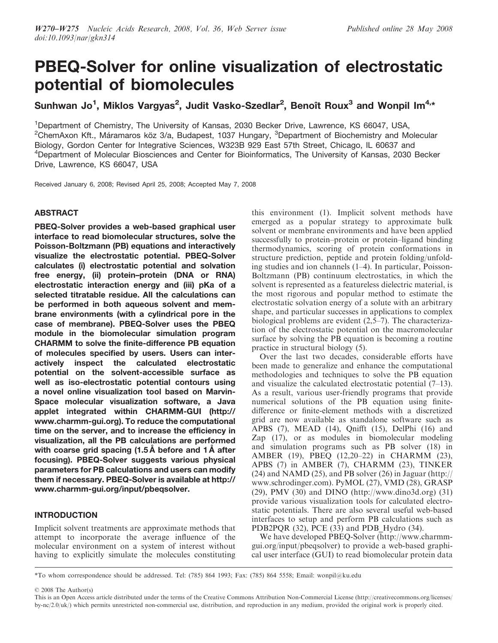# PBEQ-Solver for online visualization of electrostatic potential of biomolecules

Sunhwan Jo<sup>1</sup>, Miklos Vargyas<sup>2</sup>, Judit Vasko-Szedlar<sup>2</sup>, Benoît Roux<sup>3</sup> and Wonpil Im<sup>4,</sup>\*

<sup>1</sup>Department of Chemistry, The University of Kansas, 2030 Becker Drive, Lawrence, KS 66047, USA, <sup>2</sup>ChemAxon Kft., Máramaros köz 3/a, Budapest, 1037 Hungary, <sup>3</sup>Department of Biochemistry and Molecular Biology, Gordon Center for Integrative Sciences, W323B 929 East 57th Street, Chicago, IL 60637 and <sup>4</sup>Department of Molecular Biosciences and Center for Bioinformatics, The University of Kansas, 2030 Becker Drive, Lawrence, KS 66047, USA

Received January 6, 2008; Revised April 25, 2008; Accepted May 7, 2008

# **ABSTRACT**

PBEQ-Solver provides a web-based graphical user interface to read biomolecular structures, solve the Poisson-Boltzmann (PB) equations and interactively visualize the electrostatic potential. PBEQ-Solver calculates (i) electrostatic potential and solvation free energy, (ii) protein–protein (DNA or RNA) electrostatic interaction energy and (iii) pKa of a selected titratable residue. All the calculations can be performed in both aqueous solvent and membrane environments (with a cylindrical pore in the case of membrane). PBEQ-Solver uses the PBEQ module in the biomolecular simulation program CHARMM to solve the finite-difference PB equation of molecules specified by users. Users can interactively inspect the calculated electrostatic potential on the solvent-accessible surface as well as iso-electrostatic potential contours using a novel online visualization tool based on Marvin-Space molecular visualization software, a Java applet integrated within CHARMM-GUI (http:// www.charmm-gui.org). To reduce the computational time on the server, and to increase the efficiency in visualization, all the PB calculations are performed with coarse grid spacing  $(1.5 \text{ Å})$  before and  $1 \text{ Å}$  after focusing). PBEQ-Solver suggests various physical parameters for PB calculations and users can modify them if necessary. PBEQ-Solver is available at http:// www.charmm-gui.org/input/pbeqsolver.

# INTRODUCTION

Implicit solvent treatments are approximate methods that attempt to incorporate the average influence of the molecular environment on a system of interest without having to explicitly simulate the molecules constituting

this environment (1). Implicit solvent methods have emerged as a popular strategy to approximate bulk solvent or membrane environments and have been applied successfully to protein–protein or protein–ligand binding thermodynamics, scoring of protein conformations in structure prediction, peptide and protein folding/unfolding studies and ion channels (1–4). In particular, Poisson-Boltzmann (PB) continuum electrostatics, in which the solvent is represented as a featureless dielectric material, is the most rigorous and popular method to estimate the electrostatic solvation energy of a solute with an arbitrary shape, and particular successes in applications to complex biological problems are evident (2,5–7). The characterization of the electrostatic potential on the macromolecular surface by solving the PB equation is becoming a routine practice in structural biology (5).

Over the last two decades, considerable efforts have been made to generalize and enhance the computational methodologies and techniques to solve the PB equation and visualize the calculated electrostatic potential (7–13). As a result, various user-friendly programs that provide numerical solutions of the PB equation using finitedifference or finite-element methods with a discretized grid are now available as standalone software such as APBS (7), MEAD (14), Qnifft (15), DelPhi (16) and Zap (17), or as modules in biomolecular modeling and simulation programs such as PB solver (18) in AMBER (19), PBEQ (12,20–22) in CHARMM (23), APBS (7) in AMBER (7), CHARMM (23), TINKER (24) and NAMD (25), and PB solver (26) in Jaguar (http:// www.schrodinger.com). PyMOL (27), VMD (28), GRASP (29), PMV (30) and DINO (http://www.dino3d.org) (31) provide various visualization tools for calculated electrostatic potentials. There are also several useful web-based interfaces to setup and perform PB calculations such as PDB2PQR (32), PCE (33) and PDB Hydro (34).

We have developed PBEQ-Solver (http://www.charmmgui.org/input/pbeqsolver) to provide a web-based graphical user interface (GUI) to read biomolecular protein data

\*To whom correspondence should be addressed. Tel: (785) 864 1993; Fax: (785) 864 5558; Email: wonpil@ku.edu

2008 The Author(s)

This is an Open Access article distributed under the terms of the Creative Commons Attribution Non-Commercial License (http://creativecommons.org/licenses/ by-nc/2.0/uk/) which permits unrestricted non-commercial use, distribution, and reproduction in any medium, provided the original work is properly cited.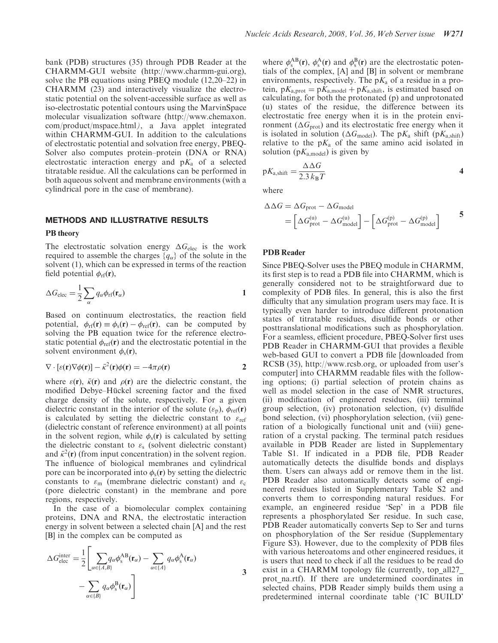bank (PDB) structures (35) through PDB Reader at the CHARMM-GUI website (http://www.charmm-gui.org), solve the PB equations using PBEQ module (12,20–22) in CHARMM (23) and interactively visualize the electrostatic potential on the solvent-accessible surface as well as iso-electrostatic potential contours using the MarvinSpace molecular visualization software (http://www.chemaxon. com/product/mspace.html), a Java applet integrated within CHARMM-GUI. In addition to the calculations of electrostatic potential and solvation free energy, PBEQ-Solver also computes protein–protein (DNA or RNA) electrostatic interaction energy and  $pK_a$  of a selected titratable residue. All the calculations can be performed in both aqueous solvent and membrane environments (with a cylindrical pore in the case of membrane).

#### METHODS AND ILLUSTRATIVE RESULTS

#### PB theory

The electrostatic solvation energy  $\Delta G_{\text{elec}}$  is the work required to assemble the charges  $\{q_{\alpha}\}\$  of the solute in the solvent (1), which can be expressed in terms of the reaction field potential  $\phi_{\text{rf}}(\mathbf{r}),$ 

$$
\Delta G_{\text{elec}} = \frac{1}{2} \sum_{\alpha} q_{\alpha} \phi_{\text{rf}}(\mathbf{r}_{\alpha})
$$

Based on continuum electrostatics, the reaction field potential,  $\phi_{\text{rf}}(\mathbf{r}) \equiv \phi_{\text{s}}(\mathbf{r}) - \phi_{\text{ref}}(\mathbf{r})$ , can be computed by solving the PB equation twice for the reference electrostatic potential  $\phi_{ref}(\mathbf{r})$  and the electrostatic potential in the solvent environment  $\phi_{s}(\mathbf{r}),$ 

$$
\nabla \cdot [\varepsilon(\mathbf{r}) \nabla \phi(\mathbf{r})] - \bar{\kappa}^2(\mathbf{r}) \phi(\mathbf{r}) = -4\pi \rho(\mathbf{r})
$$
 2

where  $\varepsilon(\mathbf{r})$ ,  $\bar{\kappa}(\mathbf{r})$  and  $\rho(\mathbf{r})$  are the dielectric constant, the modified Debye–Hückel screening factor and the fixed charge density of the solute, respectively. For a given dielectric constant in the interior of the solute  $(\varepsilon_p)$ ,  $\phi_{ref}(r)$ is calculated by setting the dielectric constant to  $\varepsilon_{ref}$ (dielectric constant of reference environment) at all points in the solvent region, while  $\phi_s(\mathbf{r})$  is calculated by setting the dielectric constant to  $\varepsilon_s$  (solvent dielectric constant) and  $\bar{\kappa}^2(\mathbf{r})$  (from input concentration) in the solvent region. The influence of biological membranes and cylindrical pore can be incorporated into  $\phi_s(\mathbf{r})$  by setting the dielectric constants to  $\varepsilon_{\rm m}$  (membrane dielectric constant) and  $\varepsilon_{\rm c}$ (pore dielectric constant) in the membrane and pore regions, respectively.

In the case of a biomolecular complex containing proteins, DNA and RNA, the electrostatic interaction energy in solvent between a selected chain [A] and the rest [B] in the complex can be computed as

$$
\Delta G_{\text{elec}}^{\text{inter}} = \frac{1}{2} \left[ \sum_{\alpha \in \{A, B\}} q_{\alpha} \phi_{\text{s}}^{\text{AB}}(\mathbf{r}_{\alpha}) - \sum_{\alpha \in \{A\}} q_{\alpha} \phi_{\text{s}}^{\text{A}}(\mathbf{r}_{\alpha}) - \sum_{\alpha \in \{B\}} q_{\alpha} \phi_{\text{s}}^{\text{B}}(\mathbf{r}_{\alpha}) \right]
$$
 3

where  $\phi_s^{AB}(\mathbf{r})$ ,  $\phi_s^{A}(\mathbf{r})$  and  $\phi_s^{B}(\mathbf{r})$  are the electrostatic potentials of the complex, [A] and [B] in solvent or membrane environments, respectively. The  $pK_a$  of a residue in a protein,  $pK_{a,prot} = pK_{a,model} + pK_{a,shift}$ , is estimated based on calculating, for both the protonated (p) and unprotonated (u) states of the residue, the difference between its electrostatic free energy when it is in the protein environment ( $\Delta G_{\text{prot}}$ ) and its electrostatic free energy when it is isolated in solution ( $\Delta G_{\text{model}}$ ). The p $K_a$  shift (p $K_{a,\text{shift}}$ ) relative to the  $pK_a$  of the same amino acid isolated in solution ( $pK_{a \text{ model}}$ ) is given by

$$
pK_{\text{a,shift}} = \frac{\Delta \Delta G}{2.3 \, k_{\text{B}} T} \tag{4}
$$

where

$$
\Delta \Delta G = \Delta G_{\text{prot}} - \Delta G_{\text{model}}
$$
  
=  $\left[ \Delta G_{\text{prot}}^{(u)} - \Delta G_{\text{model}}^{(u)} \right] - \left[ \Delta G_{\text{prot}}^{(p)} - \Delta G_{\text{model}}^{(p)} \right]$  5

#### PDB Reader

Since PBEQ-Solver uses the PBEQ module in CHARMM, its first step is to read a PDB file into CHARMM, which is generally considered not to be straightforward due to complexity of PDB files. In general, this is also the first difficulty that any simulation program users may face. It is typically even harder to introduce different protonation states of titratable residues, disulfide bonds or other posttranslational modifications such as phosphorylation. For a seamless, efficient procedure, PBEQ-Solver first uses PDB Reader in CHARMM-GUI that provides a flexible web-based GUI to convert a PDB file [downloaded from RCSB (35), http://www.rcsb.org, or uploaded from user's computer] into CHARMM readable files with the following options; (i) partial selection of protein chains as well as model selection in the case of NMR structures, (ii) modification of engineered residues, (iii) terminal group selection, (iv) protonation selection, (v) disulfide bond selection, (vi) phosphorylation selection, (vii) generation of a biologically functional unit and (viii) generation of a crystal packing. The terminal patch residues available in PDB Reader are listed in Supplementary Table S1. If indicated in a PDB file, PDB Reader automatically detects the disulfide bonds and displays them. Users can always add or remove them in the list. PDB Reader also automatically detects some of engineered residues listed in Supplementary Table S2 and converts them to corresponding natural residues. For example, an engineered residue 'Sep' in a PDB file represents a phosphorylated Ser residue. In such case, PDB Reader automatically converts Sep to Ser and turns on phosphorylation of the Ser residue (Supplementary Figure S3). However, due to the complexity of PDB files with various heteroatoms and other engineered residues, it is users that need to check if all the residues to be read do exist in a CHARMM topology file (currently, top all27 prot na.rtf). If there are undetermined coordinates in selected chains, PDB Reader simply builds them using a predetermined internal coordinate table ('IC BUILD'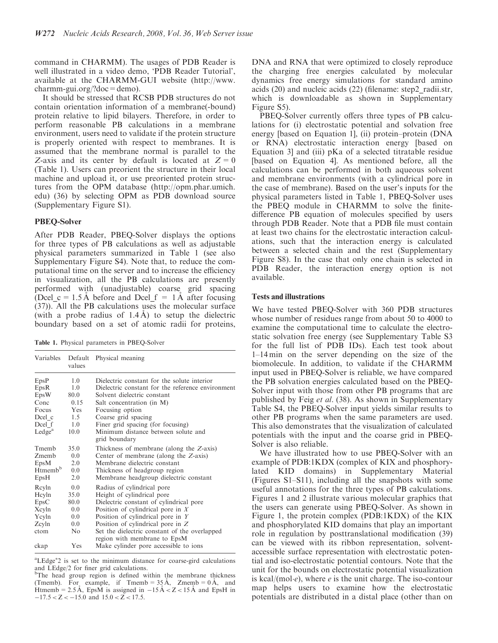command in CHARMM). The usages of PDB Reader is well illustrated in a video demo, 'PDB Reader Tutorial', available at the CHARMM-GUI website (http://www. charmm-gui.org/?doc=demo).

It should be stressed that RCSB PDB structures do not contain orientation information of a membrane(-bound) protein relative to lipid bilayers. Therefore, in order to perform reasonable PB calculations in a membrane environment, users need to validate if the protein structure is properly oriented with respect to membranes. It is assumed that the membrane normal is parallel to the Z-axis and its center by default is located at  $Z = 0$ (Table 1). Users can preorient the structure in their local machine and upload it, or use preoriented protein structures from the OPM database (http://opm.phar.umich. edu) (36) by selecting OPM as PDB download source (Supplementary Figure S1).

## PBEQ-Solver

After PDB Reader, PBEQ-Solver displays the options for three types of PB calculations as well as adjustable physical parameters summarized in Table 1 (see also Supplementary Figure S4). Note that, to reduce the computational time on the server and to increase the efficiency in visualization, all the PB calculations are presently performed with (unadjustable) coarse grid spacing (Dcel c = 1.5 Å before and Dcel f = 1 Å after focusing (37)). All the PB calculations uses the molecular surface (with a probe radius of  $1.4 \text{ Å}$ ) to setup the dielectric boundary based on a set of atomic radii for proteins,

Table 1. Physical parameters in PBEQ-Solver

| Variables          | values     | Default Physical meaning                                                      |
|--------------------|------------|-------------------------------------------------------------------------------|
| EpsP               | 1.0        | Dielectric constant for the solute interior                                   |
| EpsR               | 1.0        | Dielectric constant for the reference environment                             |
| EpsW               | 80.0       | Solvent dielectric constant                                                   |
| Conc               | 0.15       | Salt concentration (in M)                                                     |
| Focus              | <b>Yes</b> | Focusing option                                                               |
| Dcel c             | 1.5        | Coarse grid spacing                                                           |
| Dcel f             | 1.0        | Finer grid spacing (for focusing)                                             |
| Ledge <sup>a</sup> | 10.0       | Minimum distance between solute and<br>grid boundary                          |
| Tmemh              | 35.0       | Thickness of membrane (along the Z-axis)                                      |
| Zmemb              | 0.0        | Center of membrane (along the Z-axis)                                         |
| EpsM               | 2.0        | Membrane dielectric constant                                                  |
| $H$ tmem $bb$      | 0.0        | Thickness of headgroup region                                                 |
| EpsH               | 2.0        | Membrane headgroup dielectric constant                                        |
| Reyln              | 0.0        | Radius of cylindrical pore                                                    |
| Hcyln              | 35.0       | Height of cylindrical pore                                                    |
| EpsC               | 80.0       | Dielectric constant of cylindrical pore                                       |
| Xcyln              | 0.0        | Position of cylindrical pore in $X$                                           |
| Ycyln              | 0.0        | Position of cylindrical pore in $Y$                                           |
| Zcyln              | 0.0        | Position of cylindrical pore in Z                                             |
| ctom               | No         | Set the dielectric constant of the overlapped<br>region with membrane to EpsM |
| ckap               | Yes        | Make cylinder pore accessible to ions                                         |

<sup>&</sup>lt;sup>a</sup>LEdge<sup>\*</sup>2 is set to the minimum distance for coarse-gird calculations and LEdge/2 for finer grid calculations.

<sup>b</sup>The head group region is defined within the membrane thickness (Tmemb). For example, if Tmemb =  $35 \text{\AA}$ , Zmemb =  $0 \text{\AA}$ , and Htmemb = 2.5 Å, Eps $\hat{M}$  is assigned in -15 Å < Z < 15 Å and EpsH in  $-17.5 < Z < -15.0$  and  $15.0 < Z < 17.5$ .

DNA and RNA that were optimized to closely reproduce the charging free energies calculated by molecular dynamics free energy simulations for standard amino acids (20) and nucleic acids (22) (filename: step2\_radii.str, which is downloadable as shown in Supplementary Figure S5).

PBEQ-Solver currently offers three types of PB calculations for (i) electrostatic potential and solvation free energy [based on Equation 1], (ii) protein–protein (DNA or RNA) electrostatic interaction energy [based on Equation 3] and (iii) pKa of a selected titratable residue [based on Equation 4]. As mentioned before, all the calculations can be performed in both aqueous solvent and membrane environments (with a cylindrical pore in the case of membrane). Based on the user's inputs for the physical parameters listed in Table 1, PBEQ-Solver uses the PBEQ module in CHARMM to solve the finitedifference PB equation of molecules specified by users through PDB Reader. Note that a PDB file must contain at least two chains for the electrostatic interaction calculations, such that the interaction energy is calculated between a selected chain and the rest (Supplementary Figure S8). In the case that only one chain is selected in PDB Reader, the interaction energy option is not available.

## Tests and illustrations

We have tested PBEQ-Solver with 360 PDB structures whose number of residues range from about 50 to 4000 to examine the computational time to calculate the electrostatic solvation free energy (see Supplementary Table S3 for the full list of PDB IDs). Each test took about 1–14 min on the server depending on the size of the biomolecule. In addition, to validate if the CHARMM input used in PBEQ-Solver is reliable, we have compared the PB solvation energies calculated based on the PBEQ-Solver input with those from other PB programs that are published by Feig et al. (38). As shown in Supplementary Table S4, the PBEQ-Solver input yields similar results to other PB programs when the same parameters are used. This also demonstrates that the visualization of calculated potentials with the input and the coarse grid in PBEQ-Solver is also reliable.

We have illustrated how to use PBEQ-Solver with an example of PDB:1KDX (complex of KIX and phosphorylated KID domains) in Supplementary Material (Figures S1–S11), including all the snapshots with some useful annotations for the three types of PB calculations. Figures 1 and 2 illustrate various molecular graphics that the users can generate using PBEQ-Solver. As shown in Figure 1, the protein complex (PDB:1KDX) of the KIX and phosphorylated KID domains that play an important role in regulation by posttranslational modification (39) can be viewed with its ribbon representation, solventaccessible surface representation with electrostatic potential and iso-electrostatic potential contours. Note that the unit for the bounds on electrostatic potential visualization is kcal/(mol $\cdot$ e), where e is the unit charge. The iso-contour map helps users to examine how the electrostatic potentials are distributed in a distal place (other than on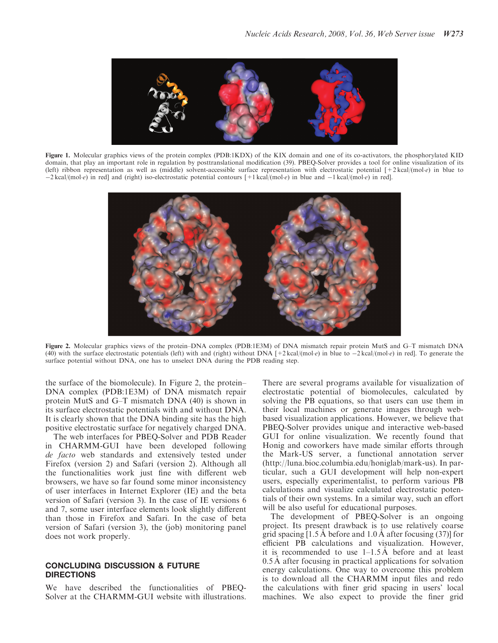

Figure 1. Molecular graphics views of the protein complex (PDB:1KDX) of the KIX domain and one of its co-activators, the phosphorylated KID domain, that play an important role in regulation by posttranslational modification (39). PBEQ-Solver provides a tool for online visualization of its (left) ribbon representation as well as (middle) solvent-accessible surface representation with electrostatic potential  $[+2 \text{ kcal/(mol·e)}$  in blue to  $-2$  kcal/(mole) in red] and (right) iso-electrostatic potential contours  $[+1$  kcal/(mole) in blue and  $-1$  kcal/(mole) in red].



Figure 2. Molecular graphics views of the protein–DNA complex (PDB:1E3M) of DNA mismatch repair protein MutS and G–T mismatch DNA (40) with the surface electrostatic potentials (left) with and (right) without DNA  $[+2 \text{ kcal/(mol}\cdot e)$  in blue to  $-2 \text{ kcal/(mol}\cdot e)$  in red]. To generate the surface potential without DNA, one has to unselect DNA during the PDB reading step.

the surface of the biomolecule). In Figure 2, the protein– DNA complex (PDB:1E3M) of DNA mismatch repair protein MutS and G–T mismatch DNA (40) is shown in its surface electrostatic potentials with and without DNA. It is clearly shown that the DNA binding site has the high positive electrostatic surface for negatively charged DNA.

The web interfaces for PBEQ-Solver and PDB Reader in CHARMM-GUI have been developed following de facto web standards and extensively tested under Firefox (version 2) and Safari (version 2). Although all the functionalities work just fine with different web browsers, we have so far found some minor inconsistency of user interfaces in Internet Explorer (IE) and the beta version of Safari (version 3). In the case of IE versions 6 and 7, some user interface elements look slightly different than those in Firefox and Safari. In the case of beta version of Safari (version 3), the (job) monitoring panel does not work properly.

#### CONCLUDING DISCUSSION & FUTURE DIRECTIONS

We have described the functionalities of PBEQ-Solver at the CHARMM-GUI website with illustrations. There are several programs available for visualization of electrostatic potential of biomolecules, calculated by solving the PB equations, so that users can use them in their local machines or generate images through webbased visualization applications. However, we believe that PBEQ-Solver provides unique and interactive web-based GUI for online visualization. We recently found that Honig and coworkers have made similar efforts through the Mark-US server, a functional annotation server (http://luna.bioc.columbia.edu/honiglab/mark-us). In particular, such a GUI development will help non-expert users, especially experimentalist, to perform various PB calculations and visualize calculated electrostatic potentials of their own systems. In a similar way, such an effort will be also useful for educational purposes.

The development of PBEQ-Solver is an ongoing project. Its present drawback is to use relatively coarse grid spacing  $[1.5 \text{ Å}$  before and  $1.0 \text{ Å}$  after focusing (37)] for efficient PB calculations and visualization. However, it is recommended to use  $1-1.5 \text{ Å}$  before and at least  $0.5 \text{ Å}$  after focusing in practical applications for solvation energy calculations. One way to overcome this problem is to download all the CHARMM input files and redo the calculations with finer grid spacing in users' local machines. We also expect to provide the finer grid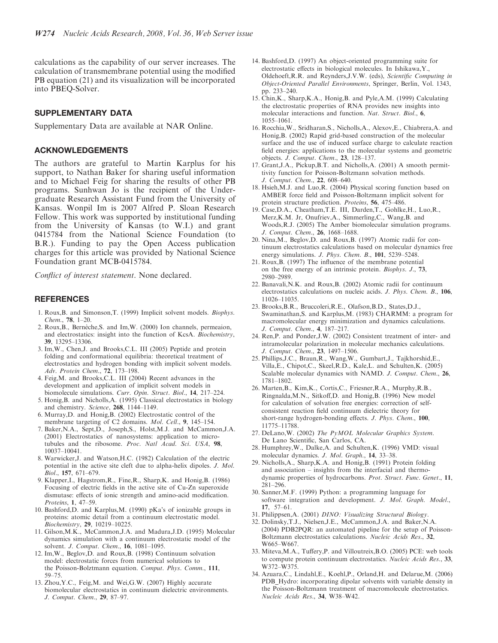calculations as the capability of our server increases. The calculation of transmembrane potential using the modified PB equation (21) and its visualization will be incorporated into PBEQ-Solver.

#### SUPPLEMENTARY DATA

Supplementary Data are available at NAR Online.

## ACKNOWLEDGEMENTS

The authors are grateful to Martin Karplus for his support, to Nathan Baker for sharing useful information and to Michael Feig for sharing the results of other PB programs. Sunhwan Jo is the recipient of the Undergraduate Research Assistant Fund from the University of Kansas. Wonpil Im is 2007 Alfred P. Sloan Research Fellow. This work was supported by institutional funding from the University of Kansas (to W.I.) and grant 0415784 from the National Science Foundation (to B.R.). Funding to pay the Open Access publication charges for this article was provided by National Science Foundation grant MCB-0415784.

Conflict of interest statement. None declared.

### **REFERENCES**

- 1. Roux,B. and Simonson,T. (1999) Implicit solvent models. Biophys. Chem., 78, 1–20.
- 2. Roux, B., Bernèche, S. and Im, W. (2000) Ion channels, permeaion, and electrostatics: insight into the function of KcsA. Biochemistry, 39, 13295–13306.
- 3. Im,W., Chen,J. and Brooks,C.L. III (2005) Peptide and protein folding and conformational equilibria: theoretical treatment of electrostatics and hydrogen bonding with implicit solvent models. Adv. Protein Chem., 72, 173–198.
- 4. Feig,M. and Brooks,C.L. III (2004) Recent advances in the development and application of implicit solvent models in biomolecule simulations. Curr. Opin. Struct. Biol., 14, 217-224.
- 5. Honig,B. and Nicholls,A. (1995) Classical electrostatics in biology and chemistry. Science, 268, 1144–1149.
- 6. Murray,D. and Honig,B. (2002) Electrostatic control of the membrane targeting of C2 domains. Mol. Cell., 9, 145–154.
- 7. Baker,N.A., Sept,D., Joseph,S., Holst,M.J. and McCammon,J.A. (2001) Electrostatics of nanosystems: application to microtubules and the ribosome. Proc. Natl Acad. Sci. USA, 98, 10037–10041.
- 8. Warwicker,J. and Watson,H.C. (1982) Calculation of the electric potential in the active site cleft due to alpha-helix dipoles. J. Mol. Biol., 157, 671–679.
- 9. Klapper,I., Hagstrom,R., Fine,R., Sharp,K. and Honig,B. (1986) Focusing of electric fields in the active site of Cu-Zn superoxide dismutase: effects of ionic strength and amino-acid modification. Proteins, 1, 47–59.
- 10. Bashford,D. and Karplus,M. (1990) pKa's of ionizable groups in proteins: atomic detail from a continuum electrostatic model. Biochemistry, 29, 10219–10225.
- 11. Gilson,M.K., McCammon,J.A. and Madura,J.D. (1995) Molecular dynamics simulation with a continuum electrostatic model of the solvent. J. Comput. Chem., 16, 1081-1095.
- 12. Im,W., Beglov,D. and Roux,B. (1998) Continuum solvation model: electrostatic forces from numerical solutions to the Poisson-Bolztmann equation. Comput. Phys. Comm., 111, 59–75.
- 13. Zhou,Y.C., Feig,M. and Wei,G.W. (2007) Highly accurate biomolecular electrostatics in continuum dielectric environments. J. Comput. Chem., 29, 87–97.
- 14. Bashford,D. (1997) An object-oriented programming suite for electrostatic effects in biological molecules. In Ishikawa,Y., Oldehoeft,R.R. and Reynders,J.V.W. (eds), Scientific Computing in Object-Oriented Parallel Environments, Springer, Berlin, Vol. 1343, pp. 233–240.
- 15. Chin,K., Sharp,K.A., Honig,B. and Pyle,A.M. (1999) Calculating the electrostatic properties of RNA provides new insights into molecular interactions and function. Nat. Struct. Biol., 6, 1055–1061.
- 16. Rocchia,W., Sridharan,S., Nicholls,A., Alexov,E., Chiabrera,A. and Honig,B. (2002) Rapid grid-based construction of the molecular surface and the use of induced surface charge to calculate reaction field energies: applications to the molecular systems and geometric objects. J. Comput. Chem., 23, 128–137.
- 17. Grant,J.A., Pickup,B.T. and Nicholls,A. (2001) A smooth permittivity function for Poisson-Boltzmann solvation methods. J. Comput. Chem., 22, 608–640.
- 18. Hsieh, $M$ .J. and Luo,R. (2004) Physical scoring function based on AMBER force field and Poisson-Boltzmann implicit solvent for protein structure prediction. Proteins, 56, 475–486.
- 19. Case,D.A., Cheatham,T.E. III, Darden,T., Gohlke,H., Luo,R., Merz,K.M. Jr, Onufriev,A., Simmerling,C., Wang,B. and Woods,R.J. (2005) The Amber biomolecular simulation programs. J. Comput. Chem., 26, 1668–1688.
- 20. Nina,M., Beglov,D. and Roux,B. (1997) Atomic radii for continuum electrostatics calculations based on molecular dynamics free energy simulations. *J. Phys. Chem. B.*, 101, 5239–5248.
- 21. Roux,B. (1997) The influence of the membrane potential on the free energy of an intrinsic protein. Biophys. J., 73, 2980–2989.
- 22. Banavali,N.K. and Roux,B. (2002) Atomic radii for continuum electrostatics calculations on nucleic acids. J. Phys. Chem. B., 106, 11026–11035.
- 23. Brooks,B.R., Bruccoleri,R.E., Olafson,B.D., States,D.J., Swaminathan,S. and Karplus,M. (1983) CHARMM: a program for macromolecular energy minimization and dynamics calculations. J. Comput. Chem., 4, 187–217.
- 24. Ren,P. and Ponder,J.W. (2002) Consistent treatment of inter- and intramolecular polarization in molecular mechanics calculations. J. Comput. Chem., 23, 1497–1506.
- 25. Phillips,J.C., Braun,R., Wang,W., Gumbart,J., Tajkhorshid,E., Villa,E., Chipot,C., Skeel,R.D., Kale,L. and Schulten,K. (2005) Scalable molecular dynamics with NAMD. J. Comput. Chem., 26, 1781–1802.
- 26. Marten,B., Kim,K., Cortis,C., Friesner,R.A., Murphy,R.B., Ringnalda,M.N., Sitkoff,D. and Honig,B. (1996) New model for calculation of solvation free energies: correction of selfconsistent reaction field continuum dielectric theory for short-range hydrogen-bonding effects. J. Phys. Chem., 100, 11775–11788.
- 27. DeLano, W. (2002) The PyMOL Molecular Graphics System. De Lano Scientific, San Carlos, CA.
- 28. Humphrey,W., Dalke,A. and Schulten,K. (1996) VMD: visual molecular dynamics. J. Mol. Graph., 14, 33–38.
- 29. Nicholls,A., Sharp,K.A. and Honig,B. (1991) Protein folding and association – insights from the interfacial and thermodynamic properties of hydrocarbons. Prot. Struct. Func. Genet., 11, 281–296.
- 30. Sanner,M.F. (1999) Python: a programming language for software integration and development. J. Mol. Graph. Model., 17, 57–61.
- 31. Philippsen,A. (2001) DINO: Visualizing Structural Biology.
- 32. Dolinsky,T.J., Nielsen,J.E., McCammon,J.A. and Baker,N.A. (2004) PDB2PQR: an automated pipeline for the setup of Poisson-Boltzmann electrostatics calculations. Nucleic Acids Res., 32, W665–W667.
- 33. Miteva,M.A., Tuffery,P. and Villoutreix,B.O. (2005) PCE: web tools to compute protein continuum electrostatics. Nucleic Acids Res., 33, W372–W375.
- 34. Azuara,C., Lindahl,E., Koehl,P., Orland,H. and Delarue,M. (2006) PDB\_Hydro: incorporating dipolar solvents with variable density in the Poisson-Boltzmann treatment of macromolecule electrostatics. Nucleic Acids Res., 34, W38–W42.